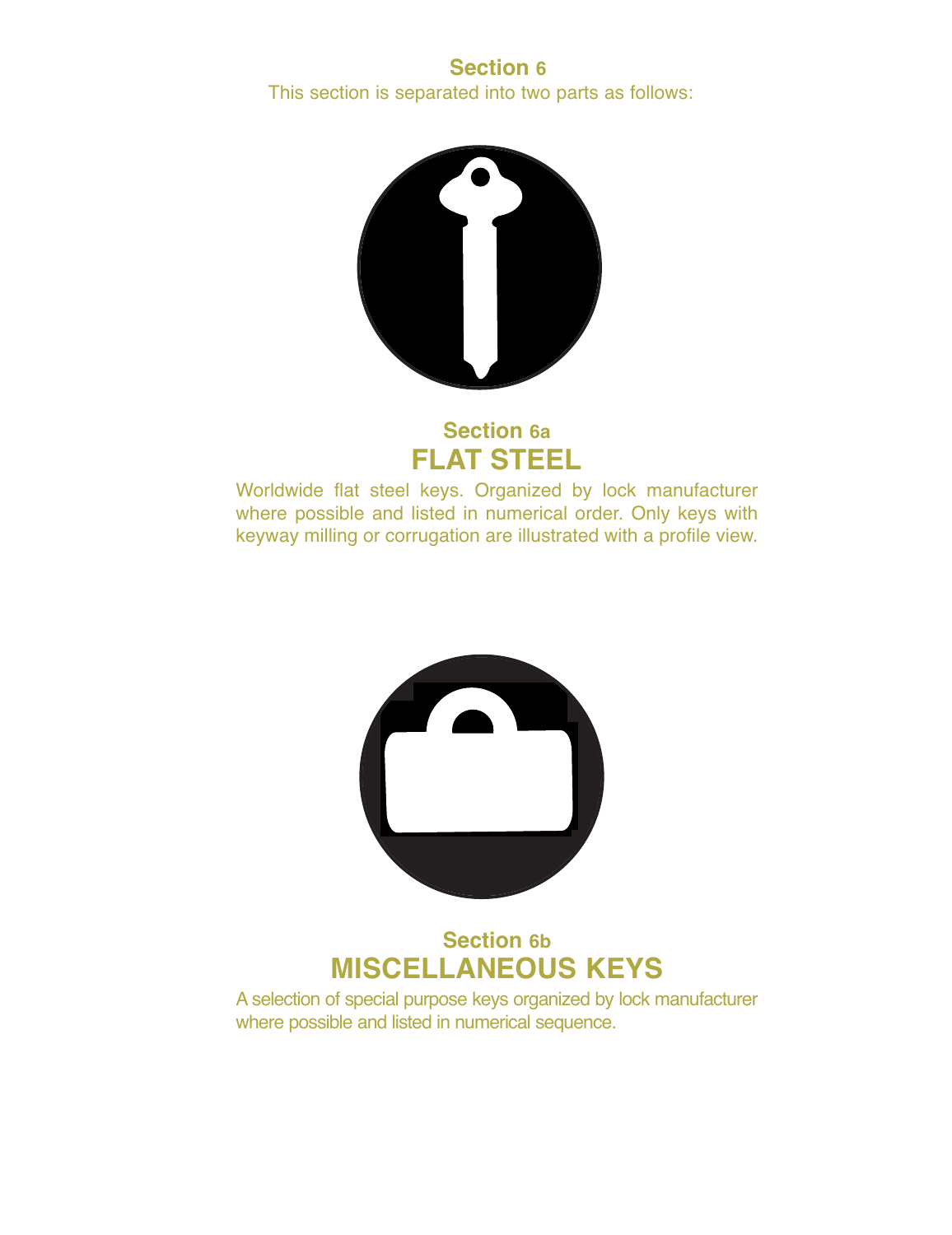## **Section 6** This section is separated into two parts as follows:



## **Section 6a FLAT STEEL**

Worldwide flat steel keys. Organized by lock manufacturer where possible and listed in numerical order. Only keys with keyway milling or corrugation are illustrated with a profile view.



## **Section 6b MISCELLANEOUS KEYS**

A selection of special purpose keys organized by lock manufacturer where possible and listed in numerical sequence.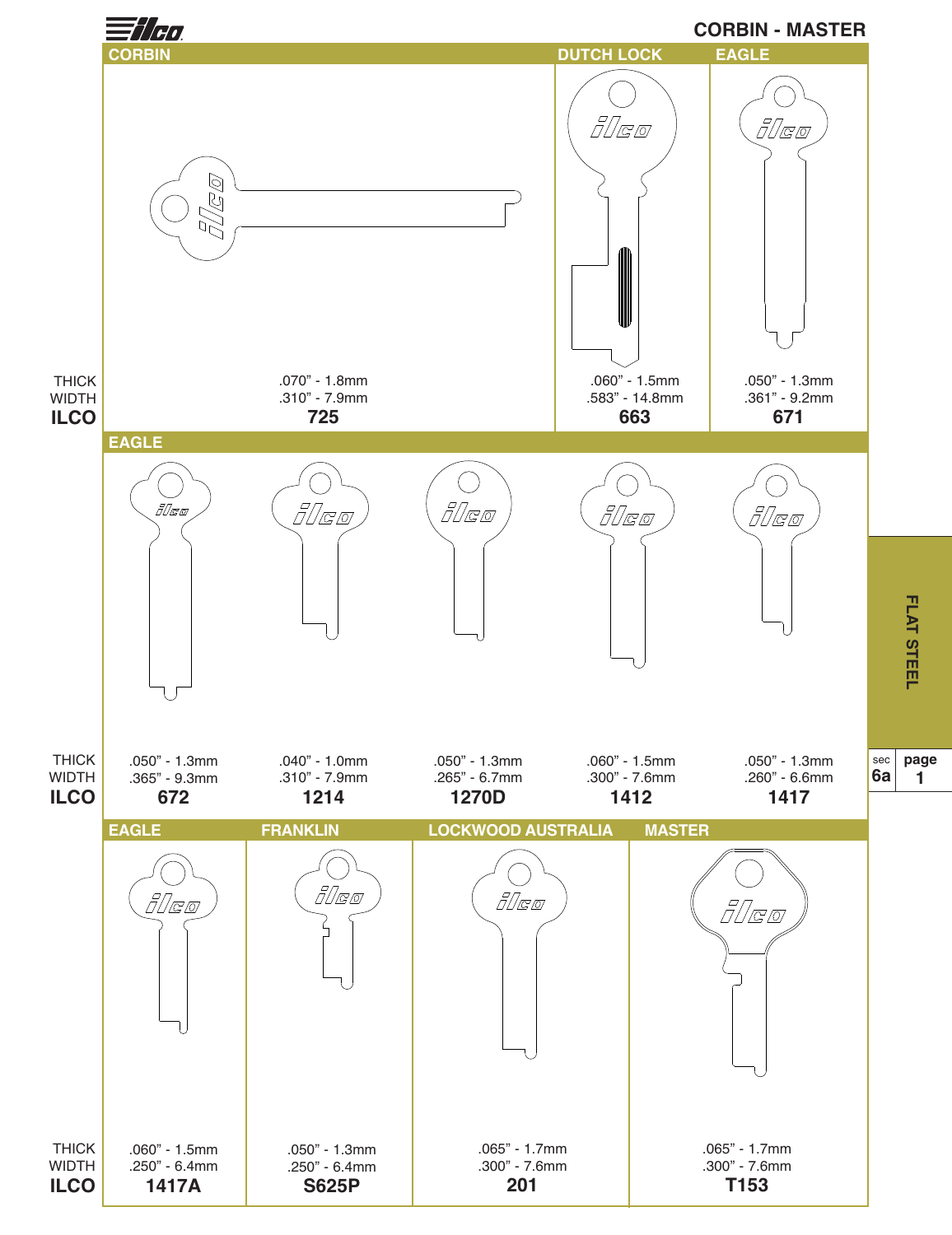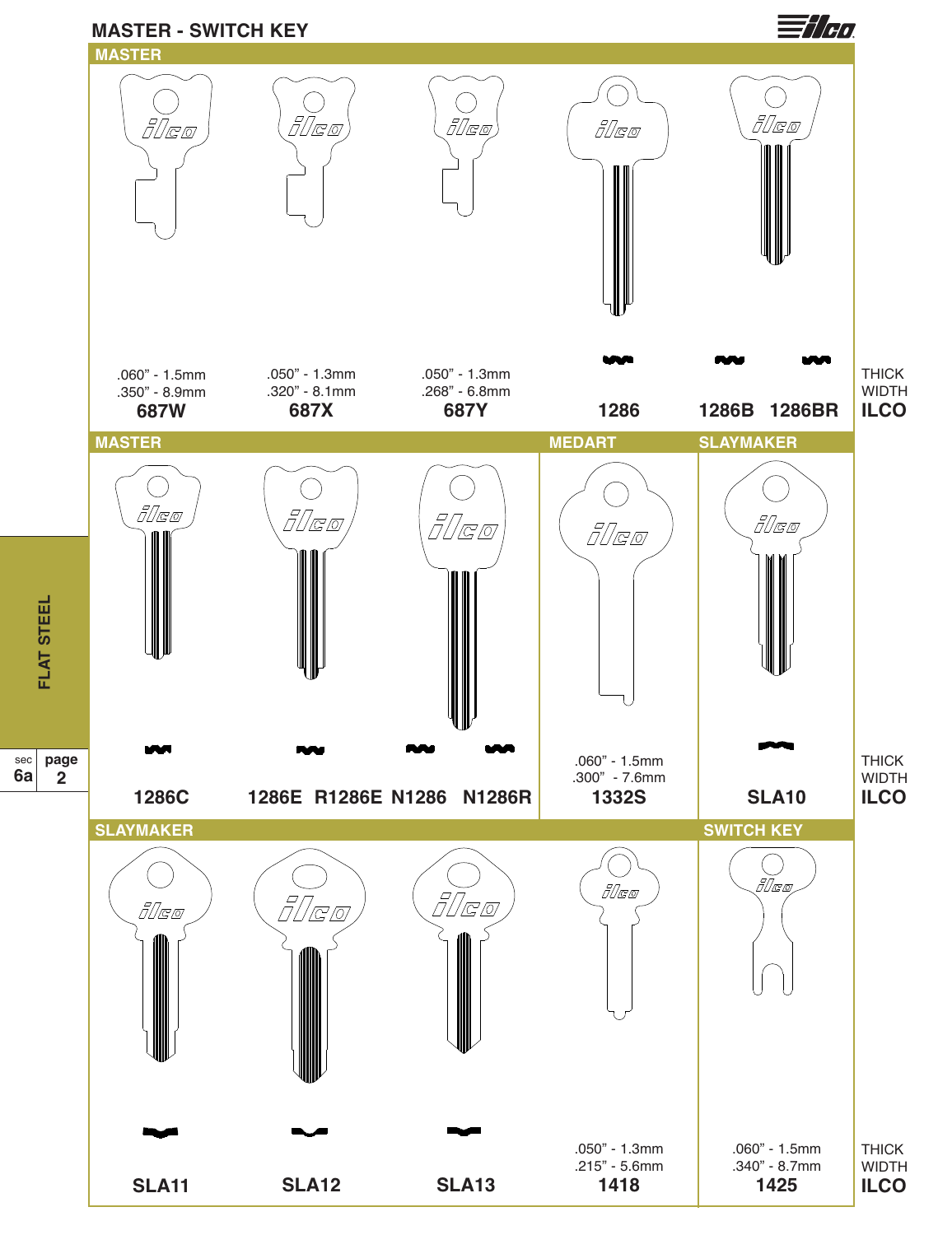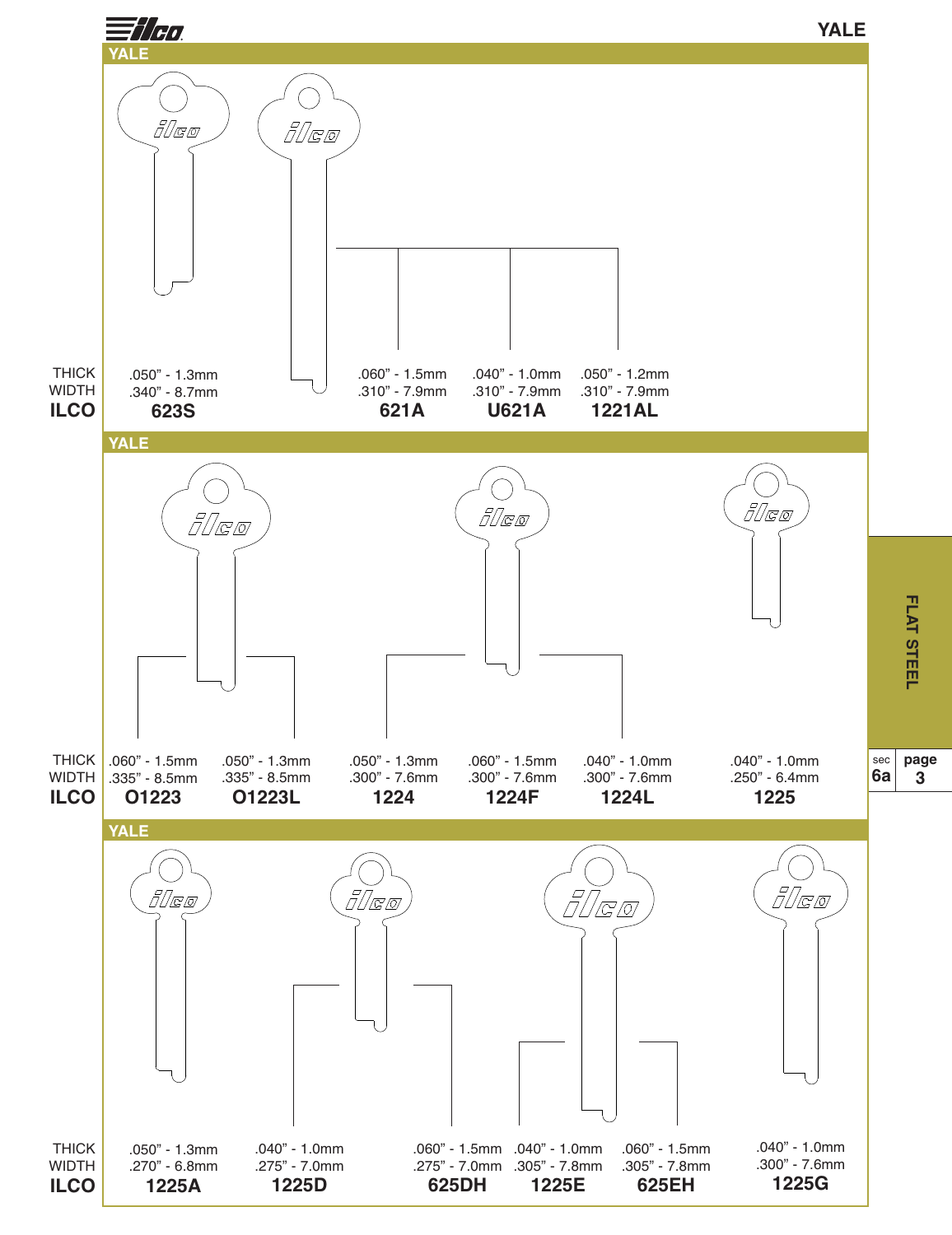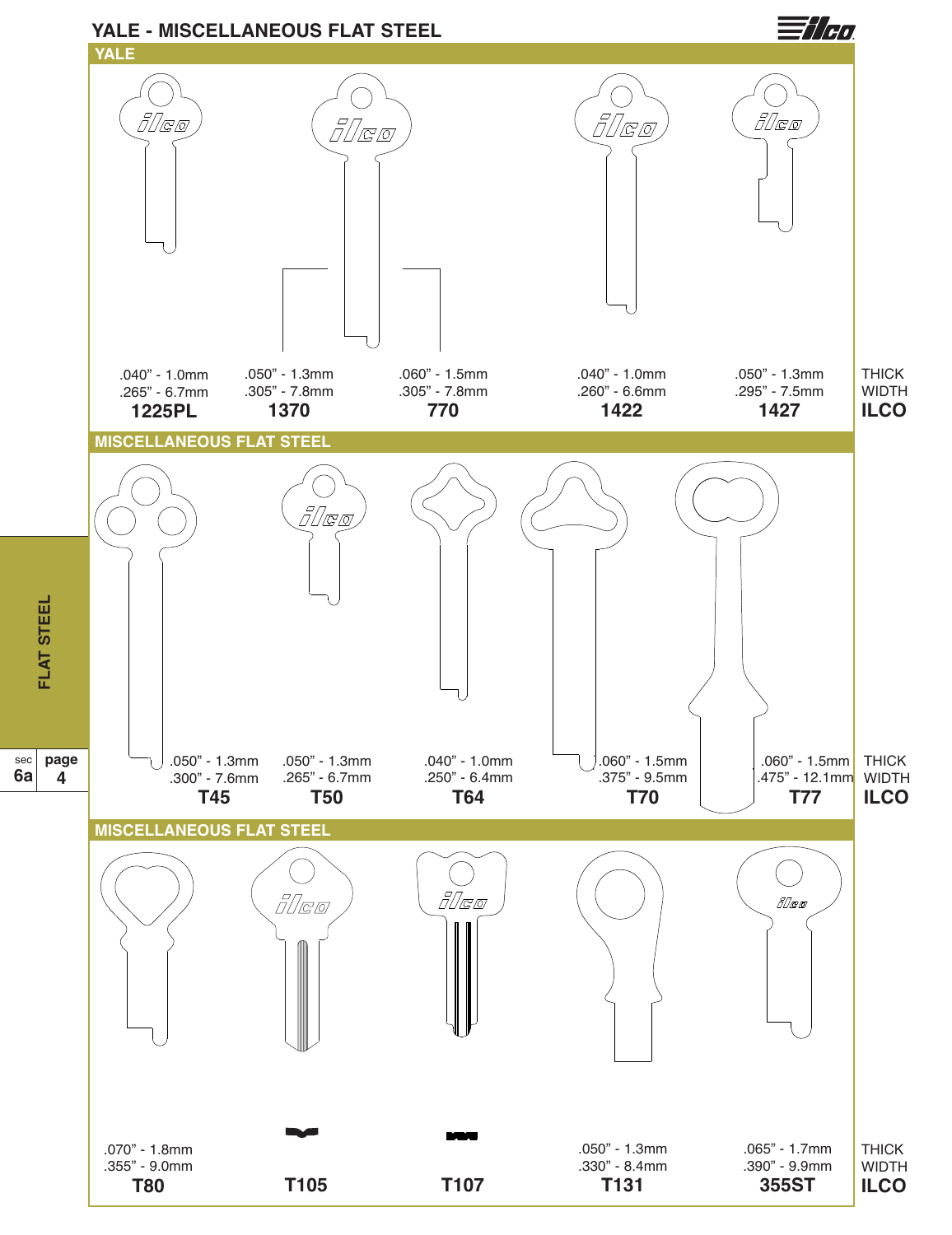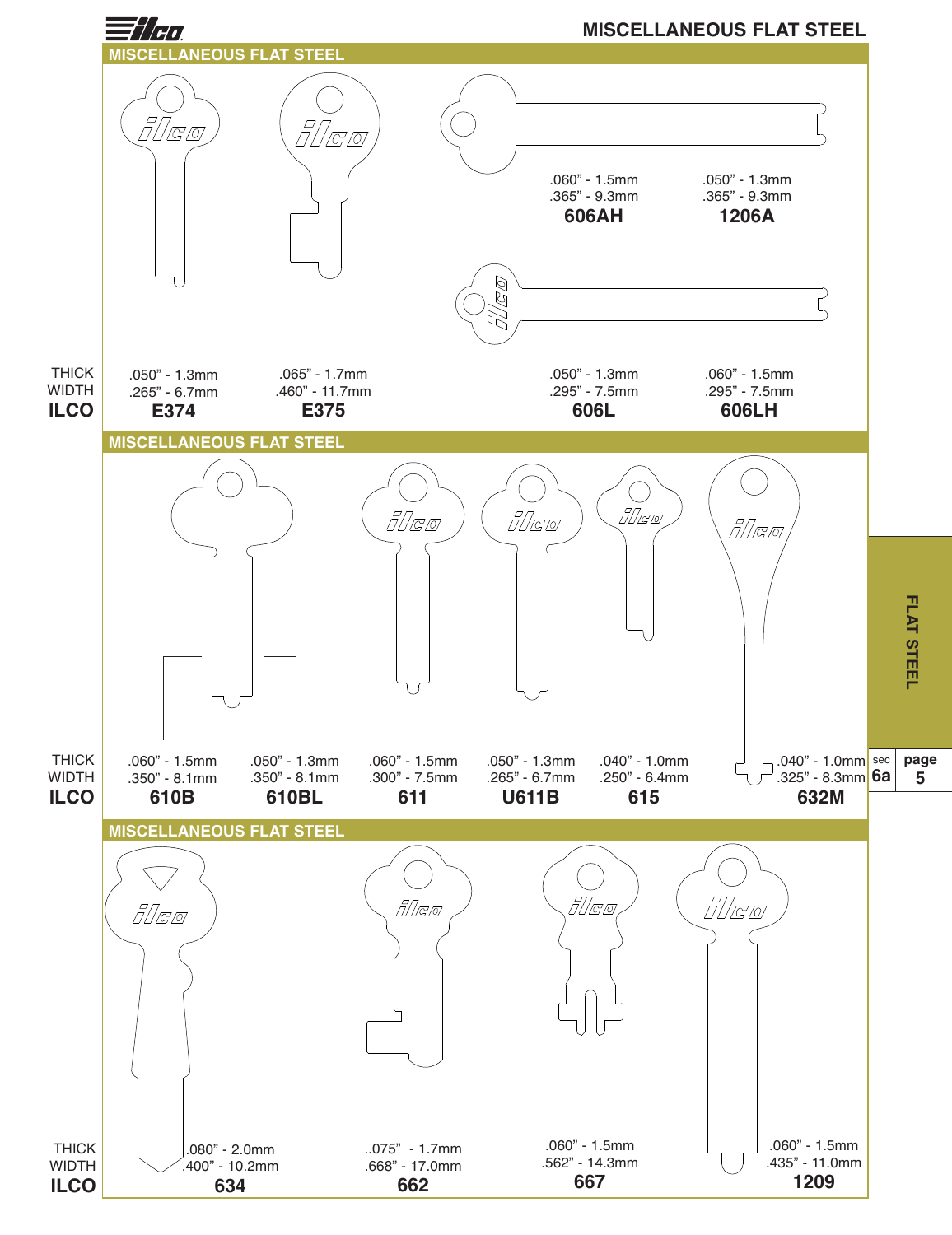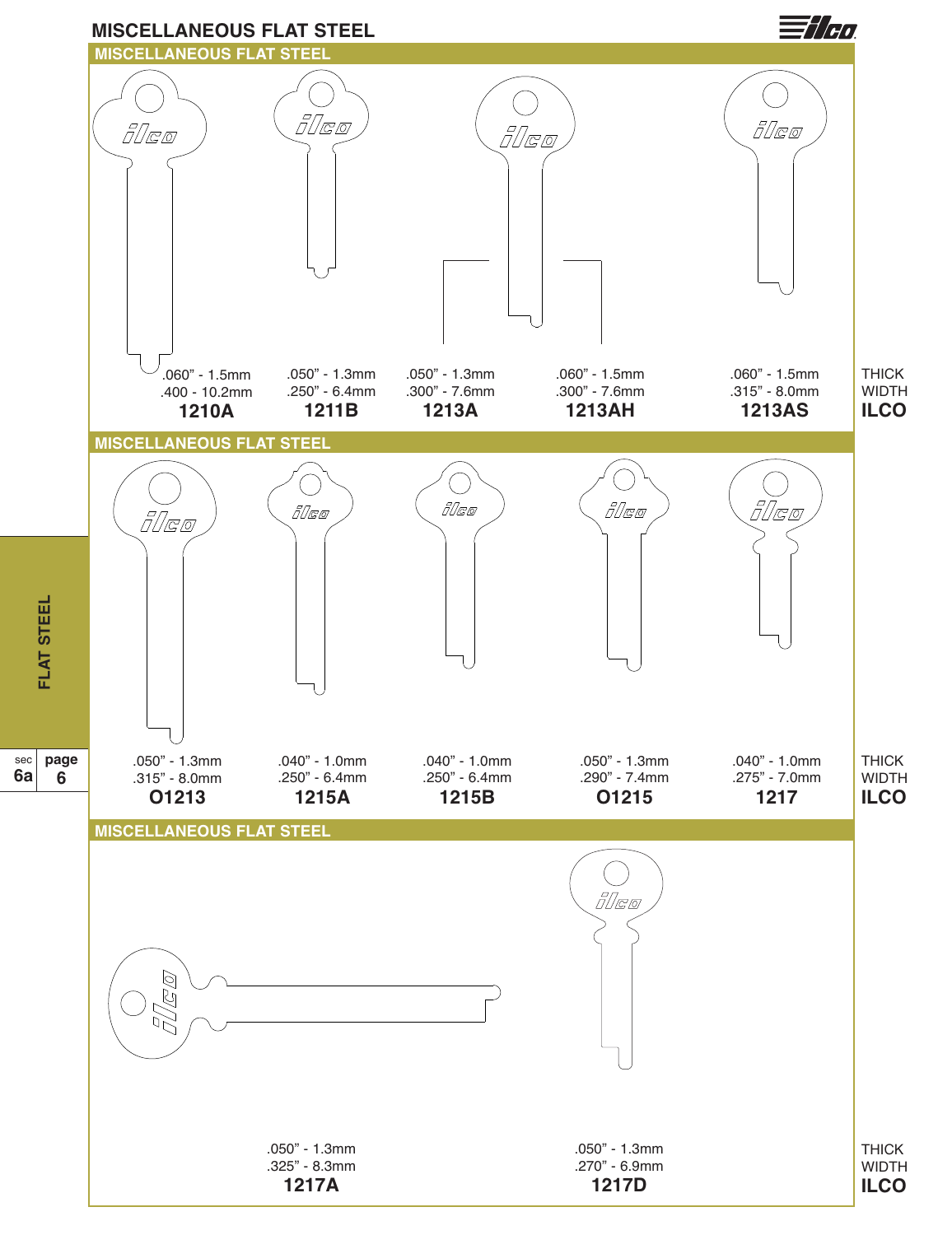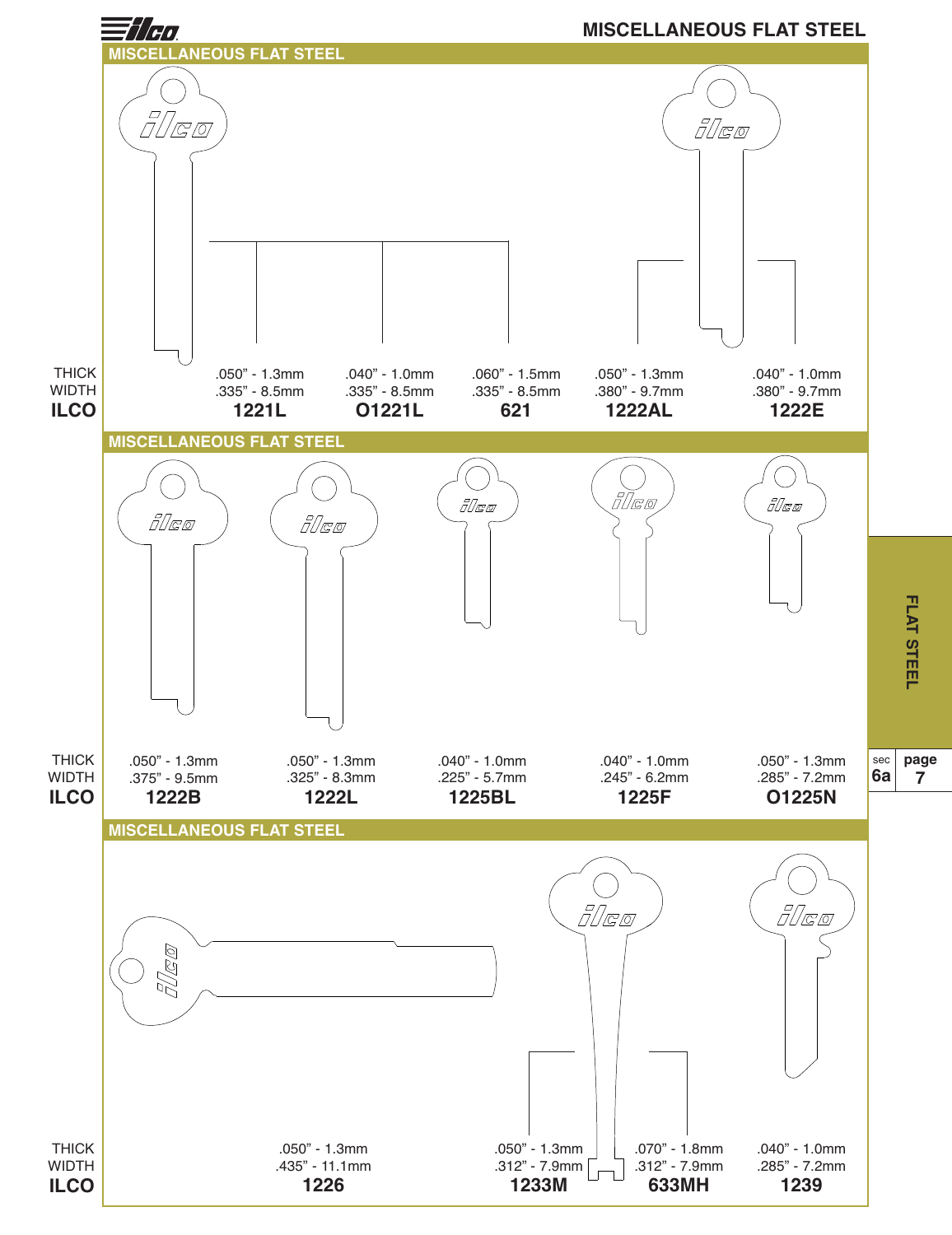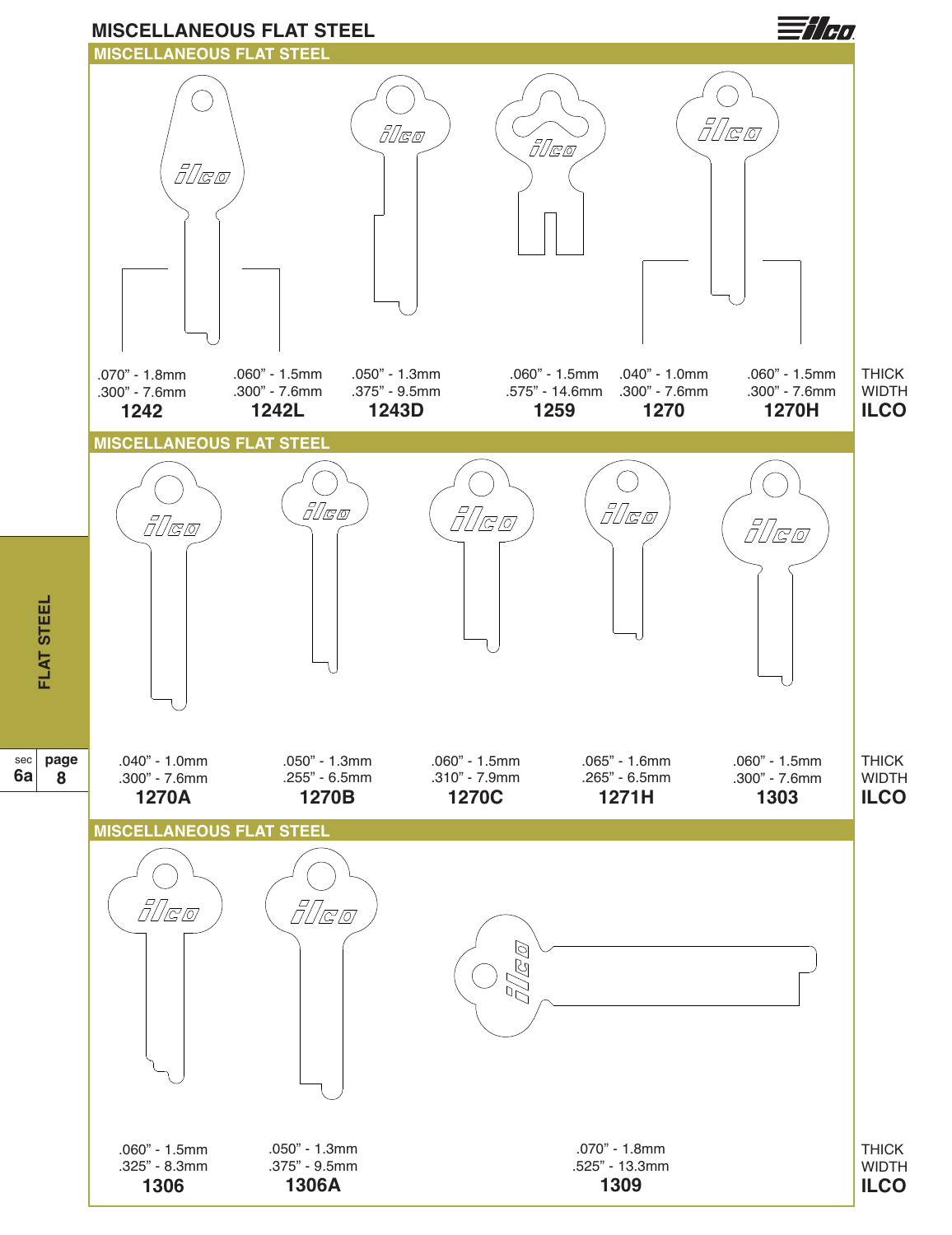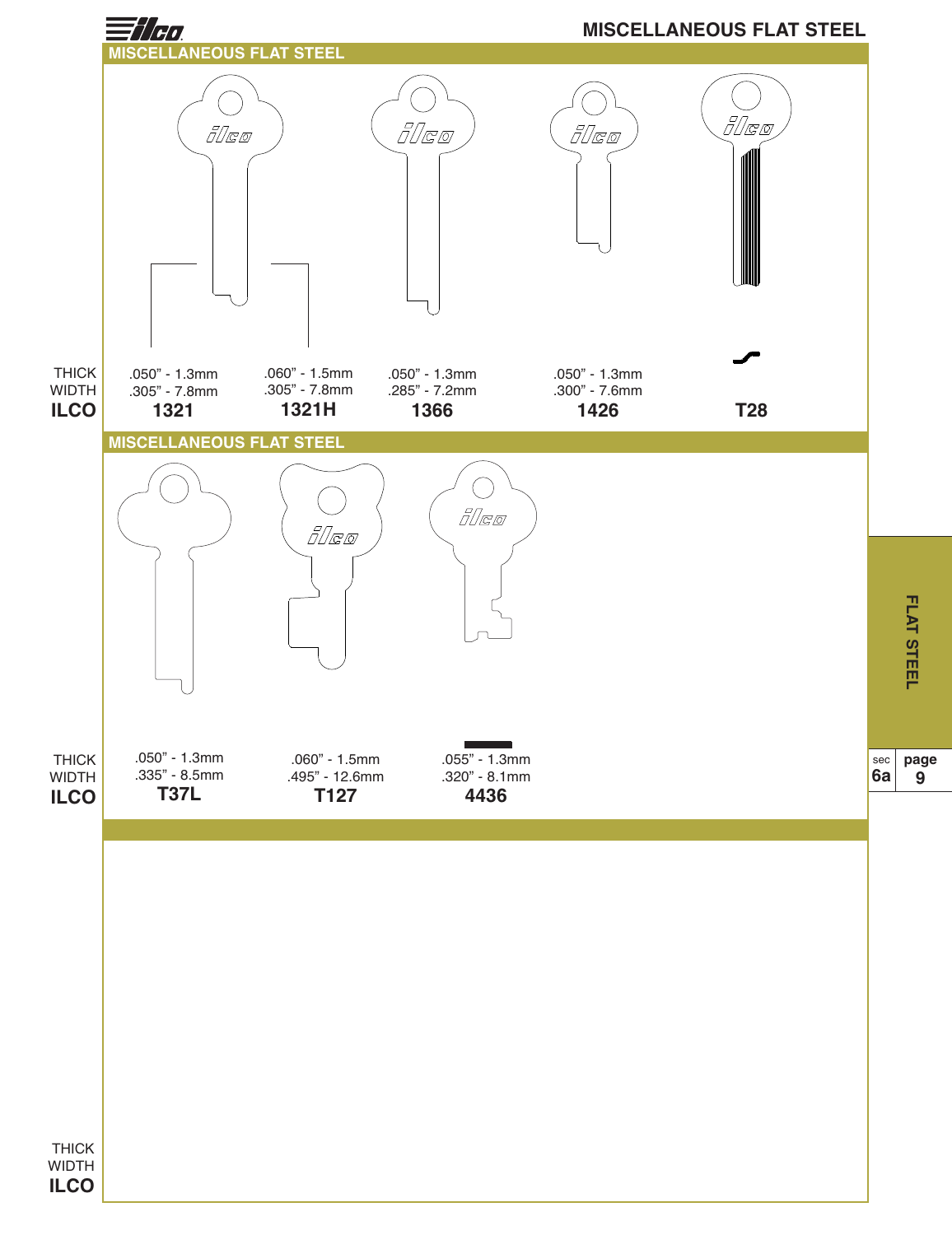![](_page_9_Figure_0.jpeg)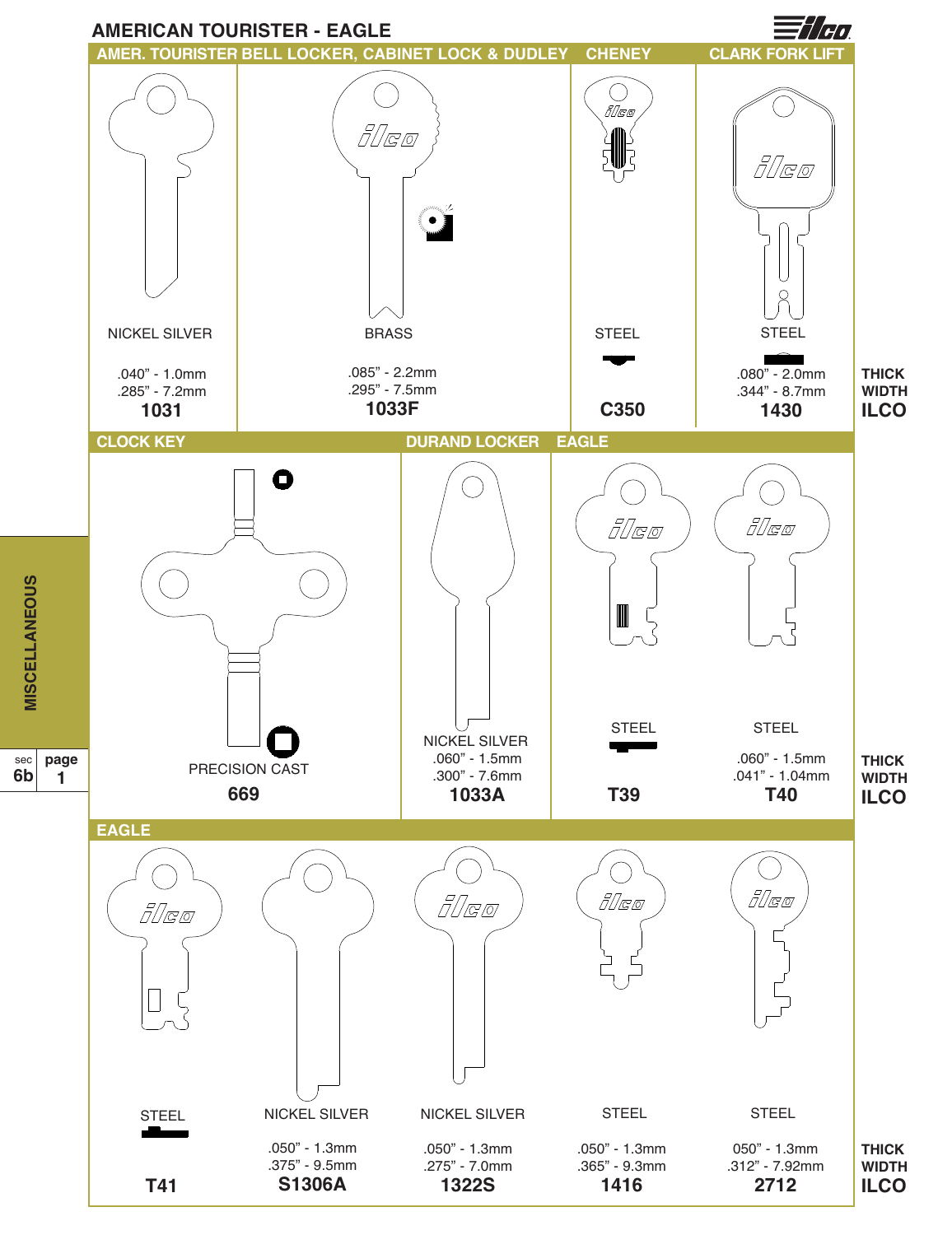![](_page_10_Figure_0.jpeg)

<u>(</u>

sec **6b**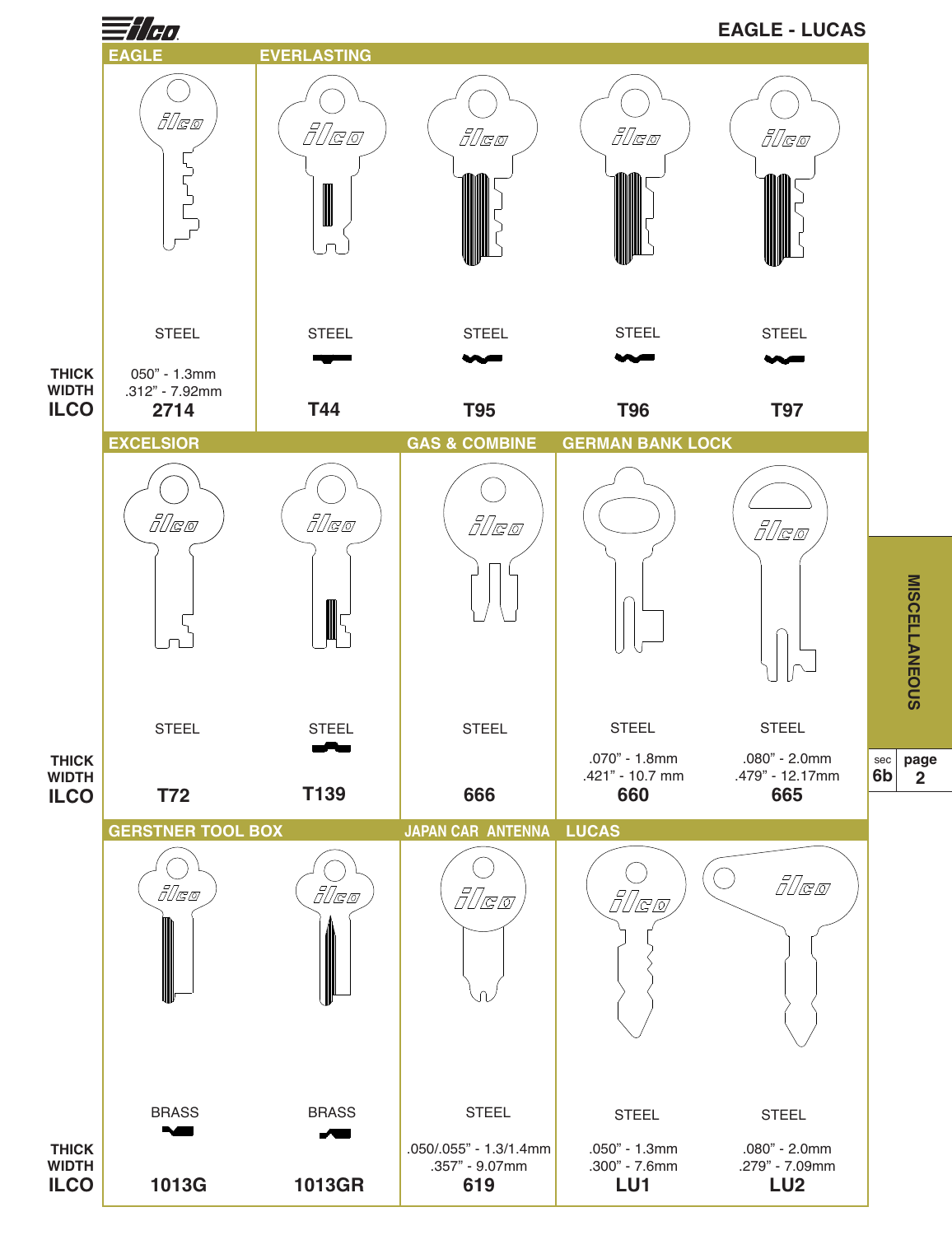![](_page_11_Figure_0.jpeg)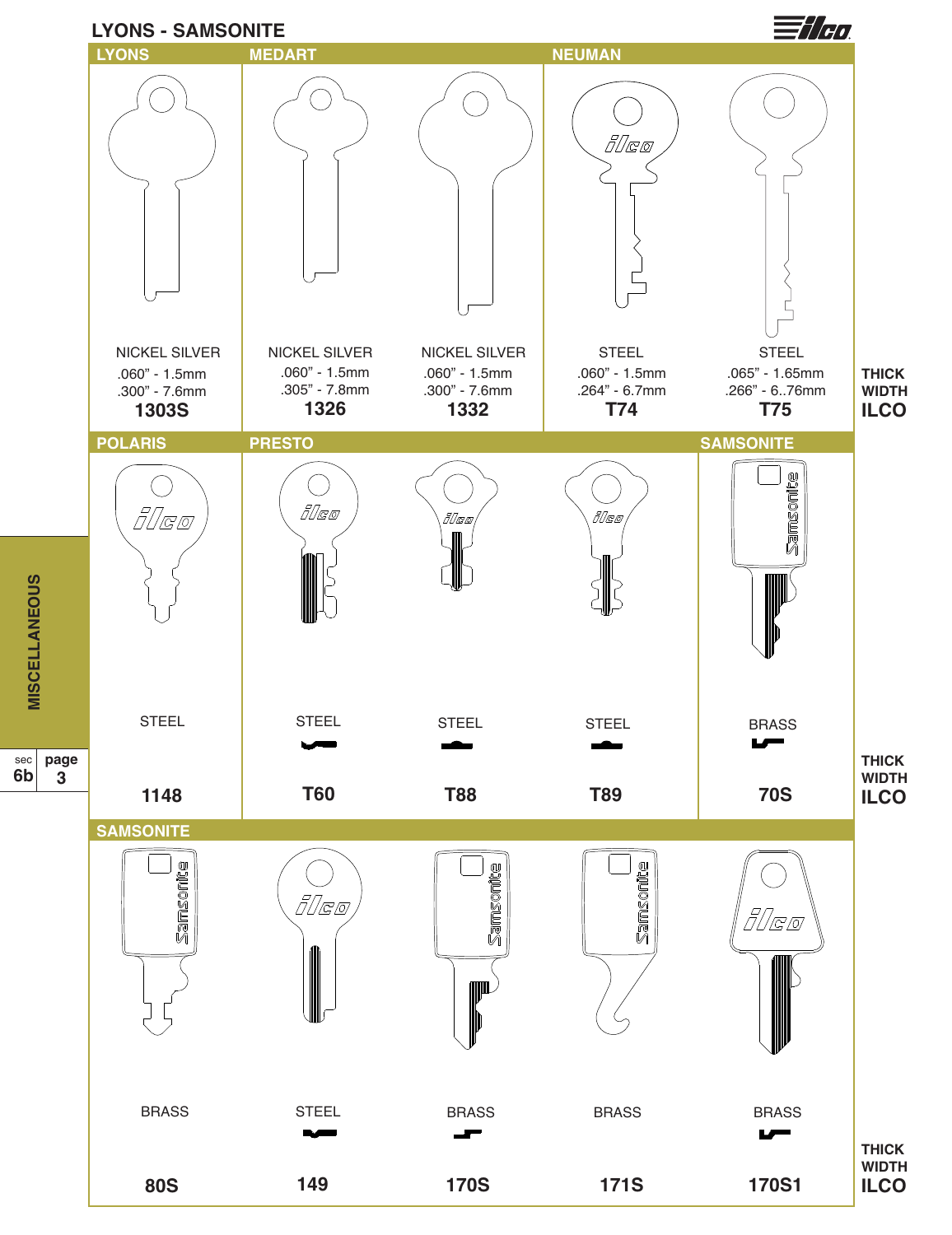![](_page_12_Figure_0.jpeg)

**MIS C E L L A N E O U**

<u>ທ</u>

sec

**6b**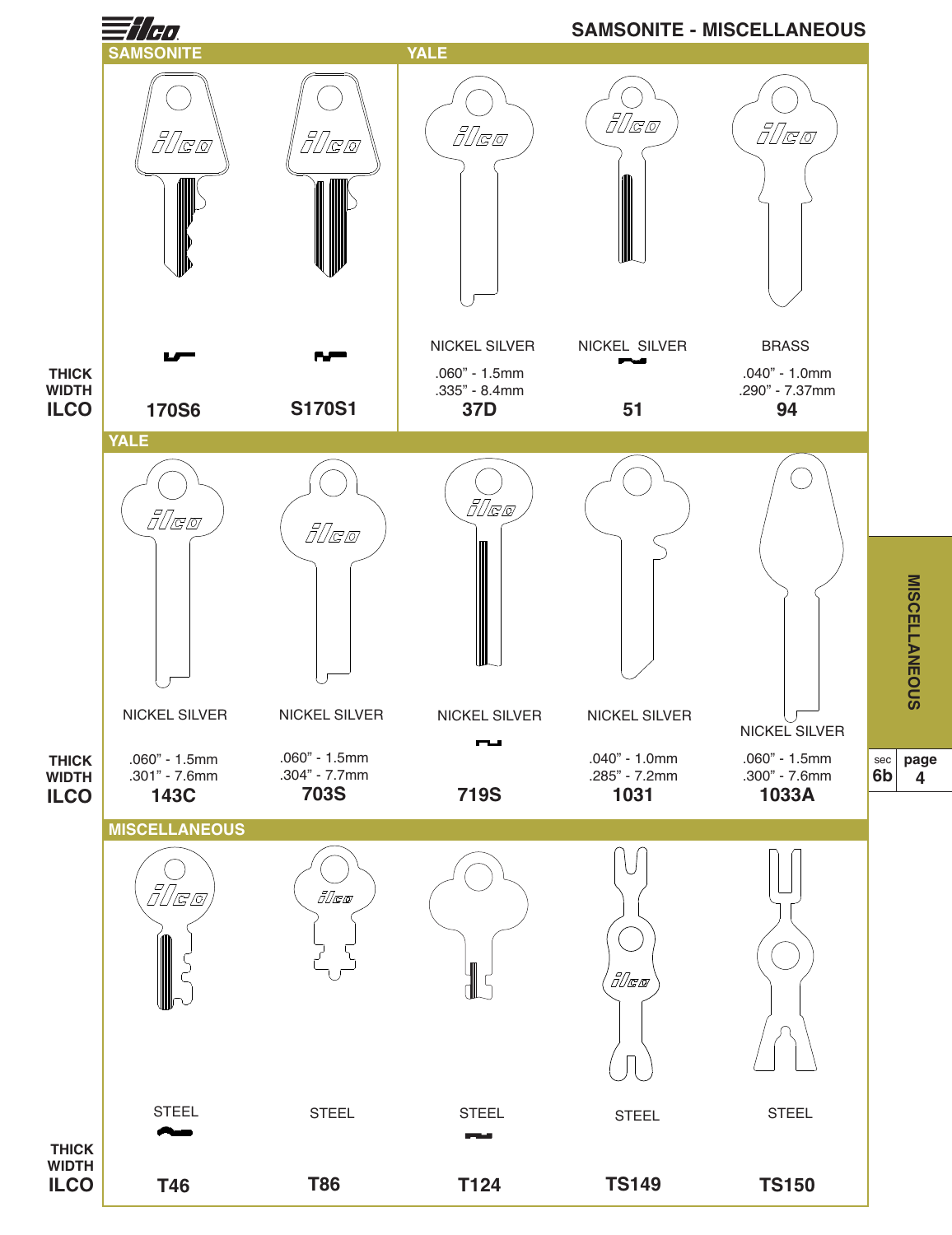![](_page_13_Figure_0.jpeg)